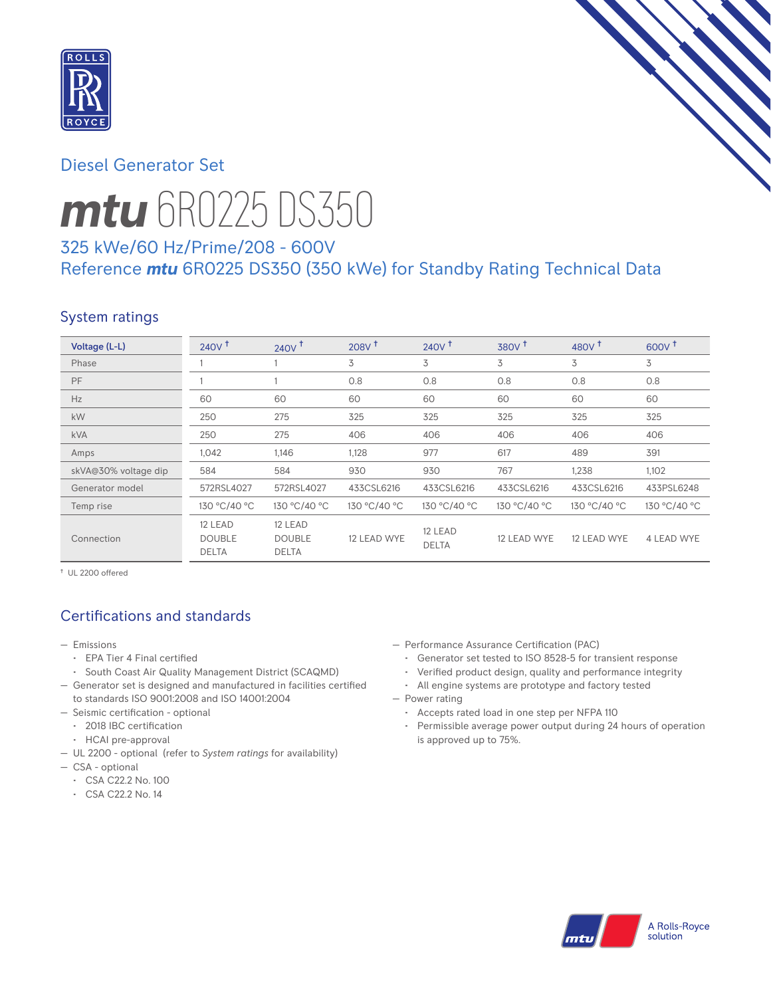

## Diesel Generator Set



# *mtu* 6R0225 DS350

# 325 kWe/60 Hz/Prime/208 - 600V Reference *mtu* 6R0225 DS350 (350 kWe) for Standby Rating Technical Data

# System ratings

| Voltage (L-L)        | $240V$ <sup>t</sup>                      | $240V$ <sup>T</sup>                      | $208V$ <sup>+</sup> | $240V$ <sup>+</sup>     | 380V <sup>†</sup> | 480V <sup>+</sup> | 600V <sup>+</sup> |
|----------------------|------------------------------------------|------------------------------------------|---------------------|-------------------------|-------------------|-------------------|-------------------|
| Phase                |                                          |                                          | 3                   | 3                       | 3                 | 3                 | 3                 |
| PF                   |                                          |                                          | 0.8                 | 0.8                     | 0.8               | 0.8               | 0.8               |
| Hz                   | 60                                       | 60                                       | 60                  | 60                      | 60                | 60                | 60                |
| <b>kW</b>            | 250                                      | 275                                      | 325                 | 325                     | 325               | 325               | 325               |
| <b>kVA</b>           | 250                                      | 275                                      | 406                 | 406                     | 406               | 406               | 406               |
| Amps                 | 1,042                                    | 1,146                                    | 1,128               | 977                     | 617               | 489               | 391               |
| skVA@30% voltage dip | 584                                      | 584                                      | 930                 | 930                     | 767               | 1,238             | 1,102             |
| Generator model      | 572RSL4027                               | 572RSL4027                               | 433CSL6216          | 433CSL6216              | 433CSL6216        | 433CSL6216        | 433PSL6248        |
| Temp rise            | 130 °C/40 °C                             | 130 °C/40 °C                             | 130 °C/40 °C        | 130 °C/40 °C            | 130 °C/40 °C      | 130 °C/40 °C      | 130 °C/40 °C      |
| Connection           | 12 LEAD<br><b>DOUBLE</b><br><b>DELTA</b> | 12 LEAD<br><b>DOUBLE</b><br><b>DELTA</b> | 12 LEAD WYE         | 12 LEAD<br><b>DELTA</b> | 12 LEAD WYE       | 12 LEAD WYE       | 4 LEAD WYE        |

† UL 2200 offered

# Certifications and standards

- Emissions
	- EPA Tier 4 Final certified
	- South Coast Air Quality Management District (SCAQMD)
- Generator set is designed and manufactured in facilities certified to standards ISO 9001:2008 and ISO 14001:2004
- Seismic certification optional
	- 2018 IBC certification
	- HCAI pre-approval
- UL 2200 optional (refer to *System ratings* for availability)
- CSA optional
	- CSA C22.2 No. 100
	- CSA C22.2 No. 14
- Performance Assurance Certification (PAC)
	- Generator set tested to ISO 8528-5 for transient response
	- Verified product design, quality and performance integrity
- All engine systems are prototype and factory tested — Power rating
	- Accepts rated load in one step per NFPA 110
	- Permissible average power output during 24 hours of operation is approved up to 75%.

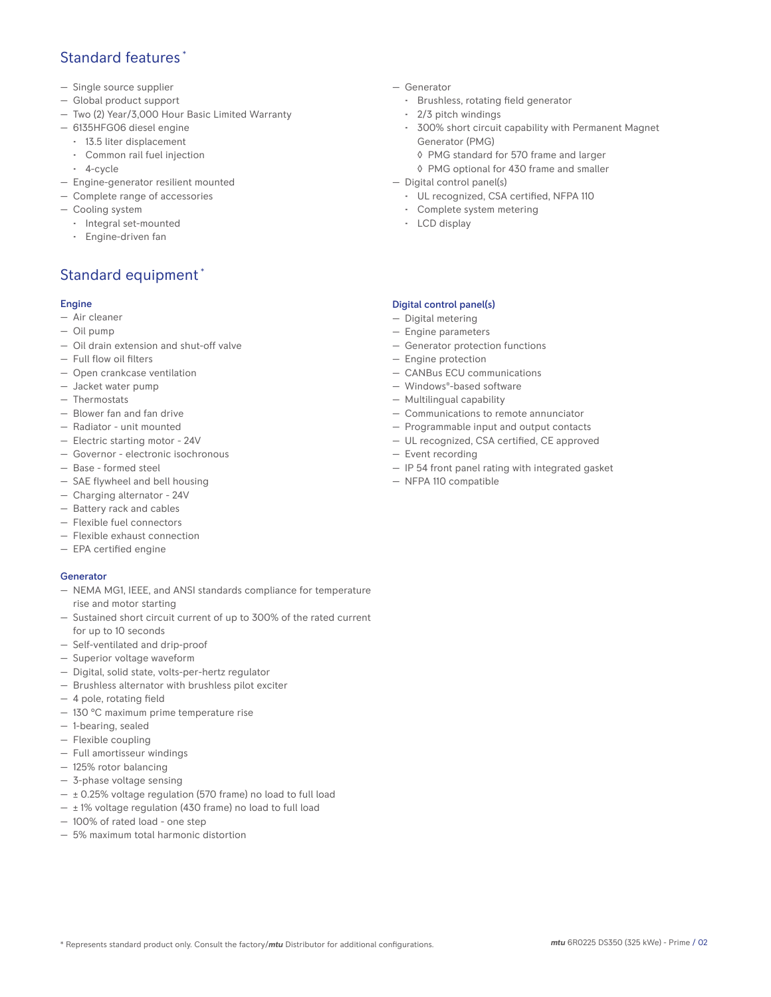## Standard features \*

- Single source supplier
- Global product support
- Two (2) Year/3,000 Hour Basic Limited Warranty
- 6135HFG06 diesel engine
	- 13.5 liter displacement
	- Common rail fuel injection
	- 4-cycle
- Engine-generator resilient mounted
- Complete range of accessories
- Cooling system
- Integral set-mounted
	- Engine-driven fan

## Standard equipment \*

#### Engine

- Air cleaner
- Oil pump
- Oil drain extension and shut-off valve
- Full flow oil filters
- Open crankcase ventilation
- Jacket water pump
- Thermostats
- Blower fan and fan drive
- Radiator unit mounted
- Electric starting motor 24V
- Governor electronic isochronous
- Base formed steel
- SAE flywheel and bell housing
- Charging alternator 24V
- Battery rack and cables
- Flexible fuel connectors
- Flexible exhaust connection
- EPA certified engine

#### **Generator**

- NEMA MG1, IEEE, and ANSI standards compliance for temperature rise and motor starting
- Sustained short circuit current of up to 300% of the rated current for up to 10 seconds
- Self-ventilated and drip-proof
- Superior voltage waveform
- Digital, solid state, volts-per-hertz regulator
- Brushless alternator with brushless pilot exciter
- 4 pole, rotating field
- 130 °C maximum prime temperature rise
- 1-bearing, sealed
- Flexible coupling
- Full amortisseur windings
- 125% rotor balancing
- 3-phase voltage sensing
- $\pm$  0.25% voltage regulation (570 frame) no load to full load
- $\pm$  1% voltage regulation (430 frame) no load to full load
- 100% of rated load one step
- 5% maximum total harmonic distortion
- Generator
	- Brushless, rotating field generator
	- 2/3 pitch windings
	- 300% short circuit capability with Permanent Magnet Generator (PMG)
		- ◊ PMG standard for 570 frame and larger
		- ◊ PMG optional for 430 frame and smaller
- Digital control panel(s)
	- UL recognized, CSA certified, NFPA 110
	- Complete system metering
	- LCD display

### Digital control panel(s)

- Digital metering
- Engine parameters
- Generator protection functions
- Engine protection
- CANBus ECU communications
- Windows®-based software
- Multilingual capability
- Communications to remote annunciator
- Programmable input and output contacts
- UL recognized, CSA certified, CE approved
- Event recording
- IP 54 front panel rating with integrated gasket
- NFPA 110 compatible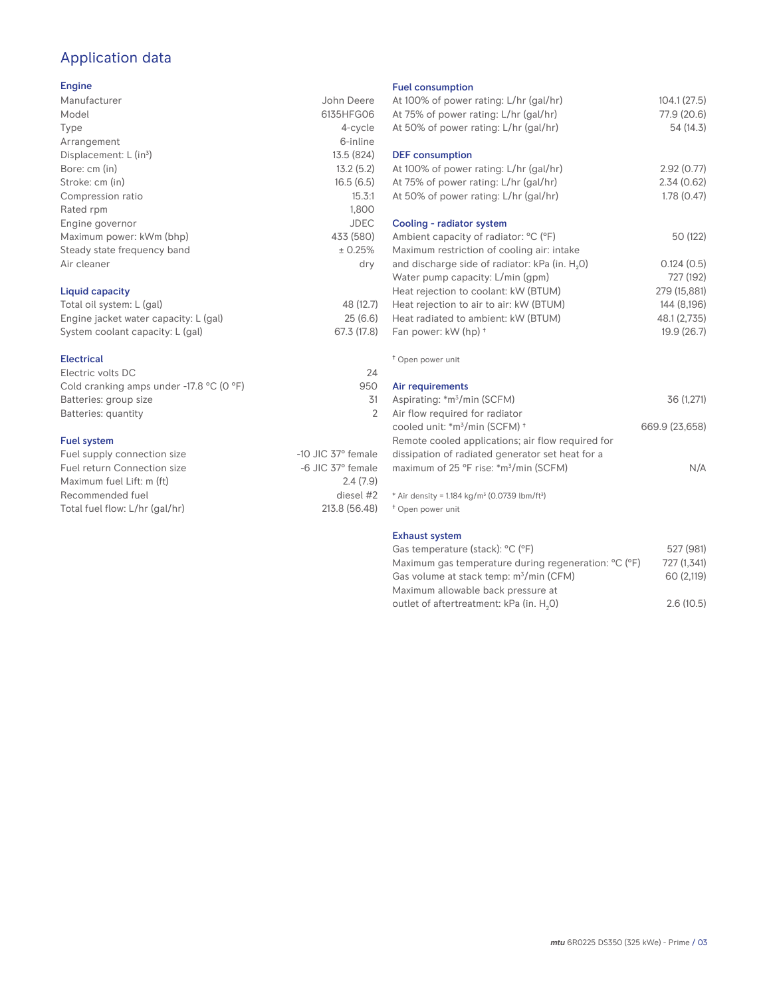# Application data

#### Engine

| Manufacturer                | John Deere  |
|-----------------------------|-------------|
| Model                       | 6135HFG06   |
| Type                        | 4-cycle     |
| Arrangement                 | 6-inline    |
| Displacement: $L (in3)$     | 13.5 (824)  |
| Bore: cm (in)               | 13.2(5.2)   |
| Stroke: cm (in)             | 16.5(6.5)   |
| Compression ratio           | 15.3:1      |
| Rated rpm                   | 1,800       |
| Engine governor             | <b>JDEC</b> |
| Maximum power: kWm (bhp)    | 433 (580)   |
| Steady state frequency band | ± 0.25%     |
| Air cleaner                 | dry         |
|                             |             |
|                             |             |

## Liquid capacity

| Total oil system: L (gal)             | 48 (12.7)   |
|---------------------------------------|-------------|
| Engine jacket water capacity: L (gal) | 25(6.6)     |
| System coolant capacity: L (gal)      | 67.3 (17.8) |

#### Electrical

| Electric volts DC                                            | 24  |
|--------------------------------------------------------------|-----|
| Cold cranking amps under -17.8 $^{\circ}$ C (O $^{\circ}$ F) | 950 |
| Batteries: group size                                        | .31 |
| Batteries: quantity                                          |     |
|                                                              |     |

#### Fuel system

| Fuel supply connection size    | $-10$ JIC 37 $\degree$ female |
|--------------------------------|-------------------------------|
| Fuel return Connection size    | $-6$ JIC 37 $^{\circ}$ female |
| Maximum fuel Lift: m (ft)      | 2.4(7.9)                      |
| Recommended fuel               | diesel #2                     |
| Total fuel flow: L/hr (gal/hr) | 213.8 (56.48)                 |
|                                |                               |

#### Fuel consumption

| Fuel consumption<br>At 100% of power rating: L/hr (gal/hr)<br>At 75% of power rating: L/hr (gal/hr)<br>At 50% of power rating: L/hr (gal/hr)                                                                                                                                                              | 104.1(27.5)<br>77.9 (20.6)<br>54 (14.3)                                               |
|-----------------------------------------------------------------------------------------------------------------------------------------------------------------------------------------------------------------------------------------------------------------------------------------------------------|---------------------------------------------------------------------------------------|
| <b>DEF</b> consumption<br>At 100% of power rating: L/hr (gal/hr)                                                                                                                                                                                                                                          | 2.92(0.77)                                                                            |
| At 75% of power rating: L/hr (gal/hr)<br>At 50% of power rating: L/hr (gal/hr)                                                                                                                                                                                                                            | 2.34(0.62)<br>1.78(0.47)                                                              |
| Cooling - radiator system<br>Ambient capacity of radiator: °C (°F)                                                                                                                                                                                                                                        | 50 (122)                                                                              |
| Maximum restriction of cooling air: intake<br>and discharge side of radiator: kPa (in. H <sub>2</sub> O)<br>Water pump capacity: L/min (gpm)<br>Heat rejection to coolant: kW (BTUM)<br>Heat rejection to air to air: kW (BTUM)<br>Heat radiated to ambient: kW (BTUM)<br>Fan power: kW (hp) <sup>+</sup> | 0.124(0.5)<br>727 (192)<br>279 (15,881)<br>144 (8,196)<br>48.1 (2,735)<br>19.9 (26.7) |
| <sup>†</sup> Open power unit                                                                                                                                                                                                                                                                              |                                                                                       |
| Air requirements<br>Aspirating: *m <sup>3</sup> /min (SCFM)<br>Air flow required for radiator                                                                                                                                                                                                             | 36 (1,271)                                                                            |
| cooled unit: *m <sup>3</sup> /min (SCFM) <sup>+</sup><br>Remote cooled applications; air flow required for<br>dissipation of radiated generator set heat for a<br>maximum of 25 °F rise: *m <sup>3</sup> /min (SCFM)                                                                                      | 669.9 (23,658)<br>N/A                                                                 |
| * Air density = 1.184 kg/m <sup>3</sup> (0.0739 lbm/ft <sup>3</sup> )<br><sup>†</sup> Open power unit                                                                                                                                                                                                     |                                                                                       |
| <b>Exhaust system</b><br>Gas temperature (stack): °C (°F)<br>Maximum gas temperature during regeneration: °C (°F)                                                                                                                                                                                         | 527 (981)<br>727 (1,341)                                                              |

Gas volume at stack temp:  $m^3/m$ in (CFM) 60 (2,119)

Maximum allowable back pressure at outlet of aftertreatment: kPa (in.  $H_2$ 0)

0) 2.6 (10.5)